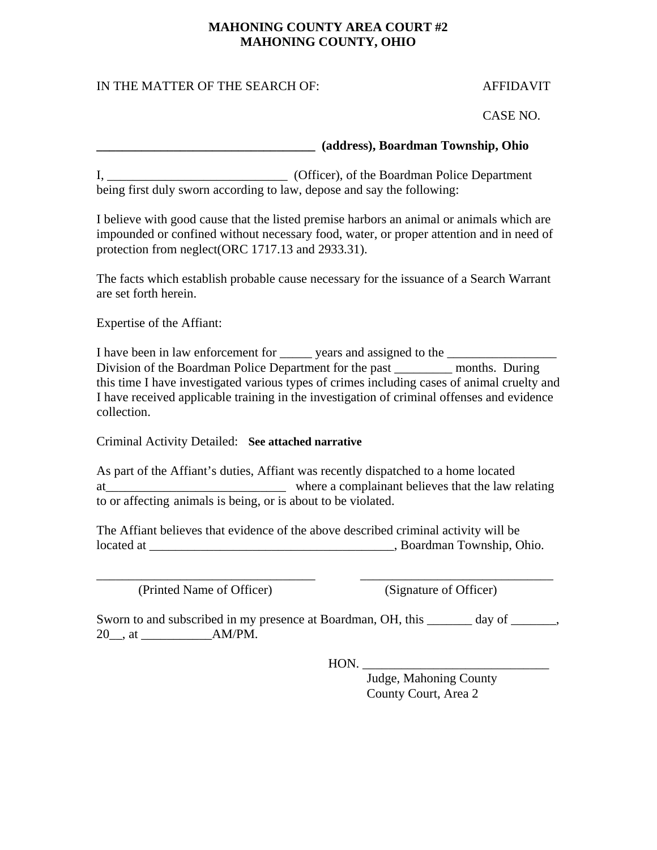### **MAHONING COUNTY AREA COURT #2 MAHONING COUNTY, OHIO**

# IN THE MATTER OF THE SEARCH OF: AFFIDAVIT

CASE NO.

### **\_\_\_\_\_\_\_\_\_\_\_\_\_\_\_\_\_\_\_\_\_\_\_\_\_\_\_\_\_\_\_\_\_\_ (address), Boardman Township, Ohio**

I, \_\_\_\_\_\_\_\_\_\_\_\_\_\_\_\_\_\_\_\_\_\_\_\_\_\_\_\_ (Officer), of the Boardman Police Department being first duly sworn according to law, depose and say the following:

I believe with good cause that the listed premise harbors an animal or animals which are impounded or confined without necessary food, water, or proper attention and in need of protection from neglect(ORC 1717.13 and 2933.31).

The facts which establish probable cause necessary for the issuance of a Search Warrant are set forth herein.

Expertise of the Affiant:

I have been in law enforcement for <u>equal</u> years and assigned to the Division of the Boardman Police Department for the past \_\_\_\_\_\_\_\_\_ months. During this time I have investigated various types of crimes including cases of animal cruelty and I have received applicable training in the investigation of criminal offenses and evidence collection.

Criminal Activity Detailed: **See attached narrative**

As part of the Affiant's duties, Affiant was recently dispatched to a home located at the law relating where a complainant believes that the law relating to or affecting animals is being, or is about to be violated.

The Affiant believes that evidence of the above described criminal activity will be located at \_\_\_\_\_\_\_\_\_\_\_\_\_\_\_\_\_\_\_\_\_\_\_\_\_\_\_\_\_\_\_\_\_\_\_\_\_\_, Boardman Township, Ohio.

(Printed Name of Officer) (Signature of Officer)

Sworn to and subscribed in my presence at Boardman, OH, this \_\_\_\_\_\_\_ day of \_\_\_\_\_\_\_, 20\_\_, at \_\_\_\_\_\_\_\_\_\_\_AM/PM.

\_\_\_\_\_\_\_\_\_\_\_\_\_\_\_\_\_\_\_\_\_\_\_\_\_\_\_\_\_\_\_\_\_\_ \_\_\_\_\_\_\_\_\_\_\_\_\_\_\_\_\_\_\_\_\_\_\_\_\_\_\_\_\_\_

HON. \_\_\_\_\_\_\_\_\_\_\_\_\_\_\_\_\_\_\_\_\_\_\_\_\_\_\_\_\_

 Judge, Mahoning County County Court, Area 2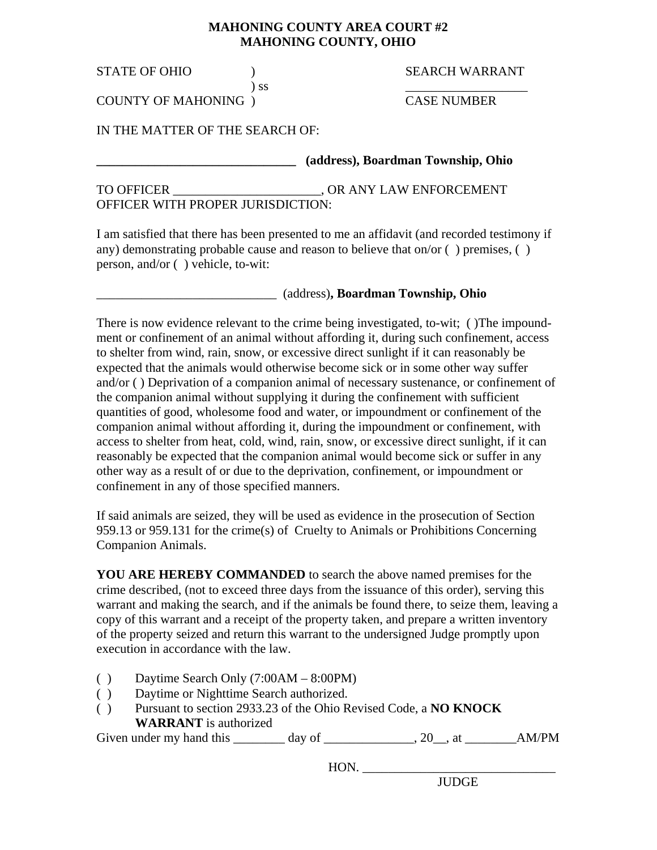#### **MAHONING COUNTY AREA COURT #2 MAHONING COUNTY, OHIO**

 $\frac{1}{2}$  ss  $\frac{1}{2}$  ss  $\frac{1}{2}$  such that  $\frac{1}{2}$  such that  $\frac{1}{2}$  such that  $\frac{1}{2}$  such that  $\frac{1}{2}$  such that  $\frac{1}{2}$  such that  $\frac{1}{2}$  such that  $\frac{1}{2}$  such that  $\frac{1}{2}$  such that  $\frac{1}{2}$  such

## STATE OF OHIO  $SFARCH WARRANT$

COUNTY OF MAHONING ) CASE NUMBER

IN THE MATTER OF THE SEARCH OF:

**\_\_\_\_\_\_\_\_\_\_\_\_\_\_\_\_\_\_\_\_\_\_\_\_\_\_\_\_\_\_\_ (address), Boardman Township, Ohio** 

TO OFFICER GENERAL CONSUMING A SUMMON CONSUMING TO OFFICER OFFICER WITH PROPER JURISDICTION:

I am satisfied that there has been presented to me an affidavit (and recorded testimony if any) demonstrating probable cause and reason to believe that on/or ( ) premises, ( ) person, and/or ( ) vehicle, to-wit:

### \_\_\_\_\_\_\_\_\_\_\_\_\_\_\_\_\_\_\_\_\_\_\_\_\_\_\_\_ (address)**, Boardman Township, Ohio**

There is now evidence relevant to the crime being investigated, to-wit; ( )The impoundment or confinement of an animal without affording it, during such confinement, access to shelter from wind, rain, snow, or excessive direct sunlight if it can reasonably be expected that the animals would otherwise become sick or in some other way suffer and/or ( ) Deprivation of a companion animal of necessary sustenance, or confinement of the companion animal without supplying it during the confinement with sufficient quantities of good, wholesome food and water, or impoundment or confinement of the companion animal without affording it, during the impoundment or confinement, with access to shelter from heat, cold, wind, rain, snow, or excessive direct sunlight, if it can reasonably be expected that the companion animal would become sick or suffer in any other way as a result of or due to the deprivation, confinement, or impoundment or confinement in any of those specified manners.

If said animals are seized, they will be used as evidence in the prosecution of Section 959.13 or 959.131 for the crime(s) of Cruelty to Animals or Prohibitions Concerning Companion Animals.

**YOU ARE HEREBY COMMANDED** to search the above named premises for the crime described, (not to exceed three days from the issuance of this order), serving this warrant and making the search, and if the animals be found there, to seize them, leaving a copy of this warrant and a receipt of the property taken, and prepare a written inventory of the property seized and return this warrant to the undersigned Judge promptly upon execution in accordance with the law.

- ( ) Daytime Search Only (7:00AM 8:00PM)
- ( ) Daytime or Nighttime Search authorized.
- ( ) Pursuant to section 2933.23 of the Ohio Revised Code, a **NO KNOCK WARRANT** is authorized

Given under my hand this  $\_\_\_\_$  day of  $\_\_\_\_\_$ , 20, at  $\_\_\_\$  AM/PM

HON. \_\_\_\_\_\_\_\_\_\_\_\_\_\_\_\_\_\_\_\_\_\_\_\_\_\_\_\_\_\_

JUDGE